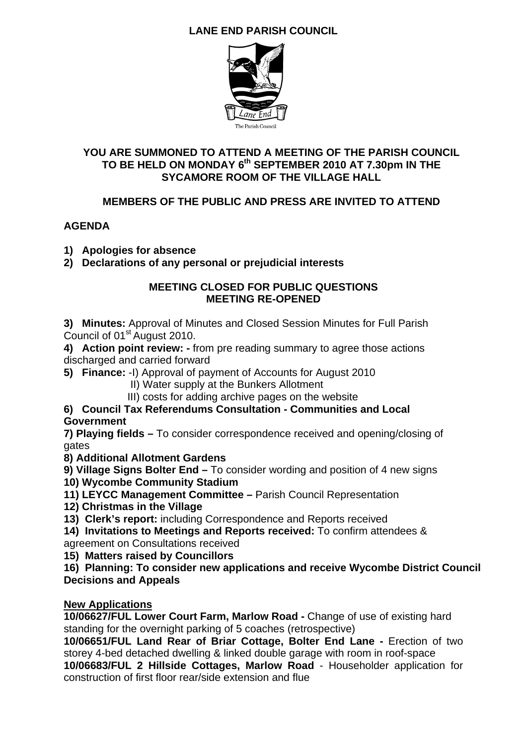# **LANE END PARISH COUNCIL**



### **YOU ARE SUMMONED TO ATTEND A MEETING OF THE PARISH COUNCIL TO BE HELD ON MONDAY 6th SEPTEMBER 2010 AT 7.30pm IN THE SYCAMORE ROOM OF THE VILLAGE HALL**

# **MEMBERS OF THE PUBLIC AND PRESS ARE INVITED TO ATTEND**

# **AGENDA**

- **1) Apologies for absence**
- **2) Declarations of any personal or prejudicial interests**

#### **MEETING CLOSED FOR PUBLIC QUESTIONS MEETING RE-OPENED**

**3) Minutes:** Approval of Minutes and Closed Session Minutes for Full Parish Council of 01<sup>st</sup> August 2010.

**4) Action point review: -** from pre reading summary to agree those actions discharged and carried forward

- **5) Finance:** -I) Approval of payment of Accounts for August 2010
	- II) Water supply at the Bunkers Allotment
	- III) costs for adding archive pages on the website

#### **6) Council Tax Referendums Consultation - Communities and Local Government**

**7) Playing fields –** To consider correspondence received and opening/closing of gates

**8) Additional Allotment Gardens** 

**9) Village Signs Bolter End –** To consider wording and position of 4 new signs

- **10) Wycombe Community Stadium**
- **11) LEYCC Management Committee** Parish Council Representation
- **12) Christmas in the Village**

**13) Clerk's report:** including Correspondence and Reports received

- **14) Invitations to Meetings and Reports received:** To confirm attendees &
- agreement on Consultations received

**15) Matters raised by Councillors** 

**16) Planning: To consider new applications and receive Wycombe District Council Decisions and Appeals** 

### **New Applications**

**10/06627/FUL Lower Court Farm, Marlow Road -** Change of use of existing hard standing for the overnight parking of 5 coaches (retrospective)

**10/06651/FUL Land Rear of Briar Cottage, Bolter End Lane -** Erection of two storey 4-bed detached dwelling & linked double garage with room in roof-space **10/06683/FUL 2 Hillside Cottages, Marlow Road** - Householder application for construction of first floor rear/side extension and flue